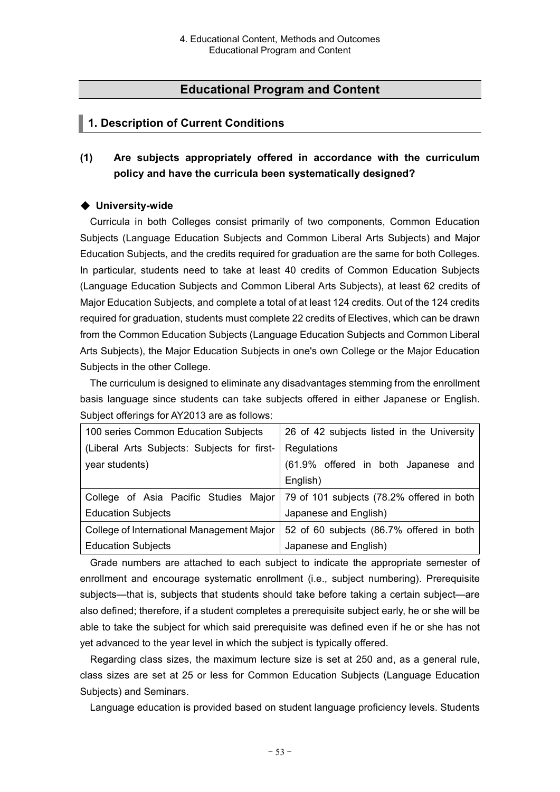# **Educational Program and Content**

# **1. Description of Current Conditions**

**(1) Are subjects appropriately offered in accordance with the curriculum policy and have the curricula been systematically designed?**

## ◆ **University-wide**

Curricula in both Colleges consist primarily of two components, Common Education Subjects (Language Education Subjects and Common Liberal Arts Subjects) and Major Education Subjects, and the credits required for graduation are the same for both Colleges. In particular, students need to take at least 40 credits of Common Education Subjects (Language Education Subjects and Common Liberal Arts Subjects), at least 62 credits of Major Education Subjects, and complete a total of at least 124 credits. Out of the 124 credits required for graduation, students must complete 22 credits of Electives, which can be drawn from the Common Education Subjects (Language Education Subjects and Common Liberal Arts Subjects), the Major Education Subjects in one's own College or the Major Education Subjects in the other College.

The curriculum is designed to eliminate any disadvantages stemming from the enrollment basis language since students can take subjects offered in either Japanese or English. Subject offerings for AY2013 are as follows:

| 100 series Common Education Subjects                                              | 26 of 42 subjects listed in the University |
|-----------------------------------------------------------------------------------|--------------------------------------------|
| (Liberal Arts Subjects: Subjects for first-                                       | Regulations                                |
| year students)                                                                    | (61.9% offered in both Japanese and        |
|                                                                                   | English)                                   |
| College of Asia Pacific Studies Major   79 of 101 subjects (78.2% offered in both |                                            |
| <b>Education Subjects</b>                                                         | Japanese and English)                      |
| College of International Management Major                                         | 52 of 60 subjects (86.7% offered in both   |
| <b>Education Subjects</b>                                                         | Japanese and English)                      |

Grade numbers are attached to each subject to indicate the appropriate semester of enrollment and encourage systematic enrollment (i.e., subject numbering). Prerequisite subjects—that is, subjects that students should take before taking a certain subject—are also defined; therefore, if a student completes a prerequisite subject early, he or she will be able to take the subject for which said prerequisite was defined even if he or she has not yet advanced to the year level in which the subject is typically offered.

Regarding class sizes, the maximum lecture size is set at 250 and, as a general rule, class sizes are set at 25 or less for Common Education Subjects (Language Education Subjects) and Seminars.

Language education is provided based on student language proficiency levels. Students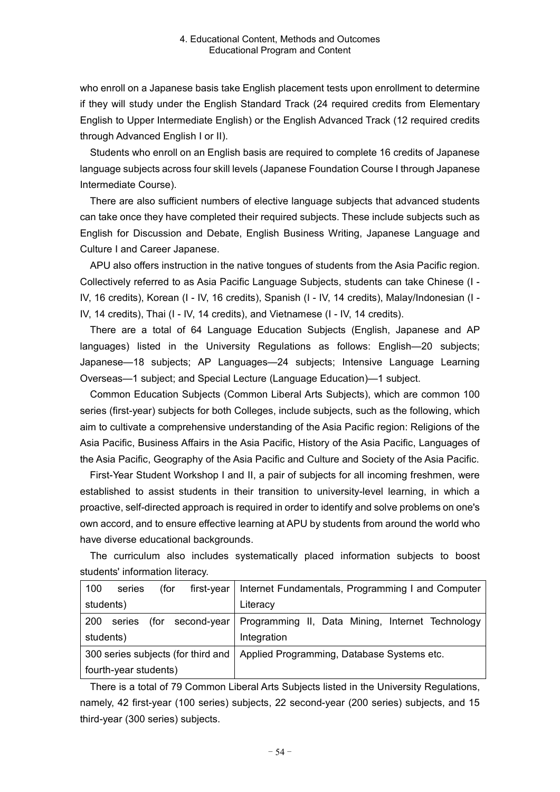who enroll on a Japanese basis take English placement tests upon enrollment to determine if they will study under the English Standard Track (24 required credits from Elementary English to Upper Intermediate English) or the English Advanced Track (12 required credits through Advanced English I or II).

Students who enroll on an English basis are required to complete 16 credits of Japanese language subjects across four skill levels (Japanese Foundation Course I through Japanese Intermediate Course).

There are also sufficient numbers of elective language subjects that advanced students can take once they have completed their required subjects. These include subjects such as English for Discussion and Debate, English Business Writing, Japanese Language and Culture I and Career Japanese.

APU also offers instruction in the native tongues of students from the Asia Pacific region. Collectively referred to as Asia Pacific Language Subjects, students can take Chinese (I - IV, 16 credits), Korean (I - IV, 16 credits), Spanish (I - IV, 14 credits), Malay/Indonesian (I - IV, 14 credits), Thai (I - IV, 14 credits), and Vietnamese (I - IV, 14 credits).

There are a total of 64 Language Education Subjects (English, Japanese and AP languages) listed in the University Regulations as follows: English—20 subjects; Japanese—18 subjects; AP Languages—24 subjects; Intensive Language Learning Overseas—1 subject; and Special Lecture (Language Education)—1 subject.

Common Education Subjects (Common Liberal Arts Subjects), which are common 100 series (first-year) subjects for both Colleges, include subjects, such as the following, which aim to cultivate a comprehensive understanding of the Asia Pacific region: Religions of the Asia Pacific, Business Affairs in the Asia Pacific, History of the Asia Pacific, Languages of the Asia Pacific, Geography of the Asia Pacific and Culture and Society of the Asia Pacific.

First-Year Student Workshop I and II, a pair of subjects for all incoming freshmen, were established to assist students in their transition to university-level learning, in which a proactive, self-directed approach is required in order to identify and solve problems on one's own accord, and to ensure effective learning at APU by students from around the world who have diverse educational backgrounds.

The curriculum also includes systematically placed information subjects to boost students' information literacy.

| 100        | series                | (for | $first-year$                       | Internet Fundamentals, Programming I and Computer |
|------------|-----------------------|------|------------------------------------|---------------------------------------------------|
| students)  |                       |      |                                    | Literacy                                          |
| <b>200</b> | series                | (for | second-year                        | Programming II, Data Mining, Internet Technology  |
| students)  |                       |      |                                    | Integration                                       |
|            |                       |      | 300 series subjects (for third and | Applied Programming, Database Systems etc.        |
|            | fourth-year students) |      |                                    |                                                   |

There is a total of 79 Common Liberal Arts Subjects listed in the University Regulations, namely, 42 first-year (100 series) subjects, 22 second-year (200 series) subjects, and 15 third-year (300 series) subjects.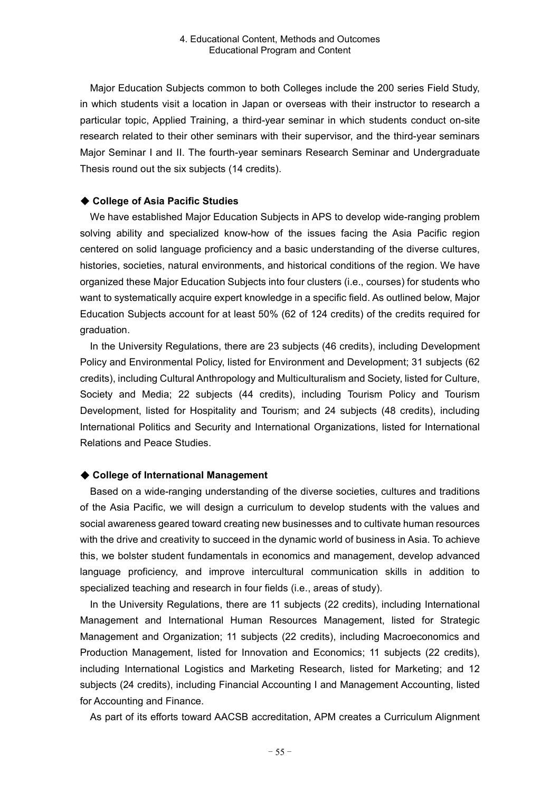Major Education Subjects common to both Colleges include the 200 series Field Study, in which students visit a location in Japan or overseas with their instructor to research a particular topic, Applied Training, a third-year seminar in which students conduct on-site research related to their other seminars with their supervisor, and the third-year seminars Major Seminar I and II. The fourth-year seminars Research Seminar and Undergraduate Thesis round out the six subjects (14 credits).

### ◆ **College of Asia Pacific Studies**

We have established Major Education Subjects in APS to develop wide-ranging problem solving ability and specialized know-how of the issues facing the Asia Pacific region centered on solid language proficiency and a basic understanding of the diverse cultures, histories, societies, natural environments, and historical conditions of the region. We have organized these Major Education Subjects into four clusters (i.e., courses) for students who want to systematically acquire expert knowledge in a specific field. As outlined below, Major Education Subjects account for at least 50% (62 of 124 credits) of the credits required for graduation.

In the University Regulations, there are 23 subjects (46 credits), including Development Policy and Environmental Policy, listed for Environment and Development; 31 subjects (62 credits), including Cultural Anthropology and Multiculturalism and Society, listed for Culture, Society and Media; 22 subjects (44 credits), including Tourism Policy and Tourism Development, listed for Hospitality and Tourism; and 24 subjects (48 credits), including International Politics and Security and International Organizations, listed for International Relations and Peace Studies.

### ◆ **College of International Management**

Based on a wide-ranging understanding of the diverse societies, cultures and traditions of the Asia Pacific, we will design a curriculum to develop students with the values and social awareness geared toward creating new businesses and to cultivate human resources with the drive and creativity to succeed in the dynamic world of business in Asia. To achieve this, we bolster student fundamentals in economics and management, develop advanced language proficiency, and improve intercultural communication skills in addition to specialized teaching and research in four fields (i.e., areas of study).

In the University Regulations, there are 11 subjects (22 credits), including International Management and International Human Resources Management, listed for Strategic Management and Organization; 11 subjects (22 credits), including Macroeconomics and Production Management, listed for Innovation and Economics; 11 subjects (22 credits), including International Logistics and Marketing Research, listed for Marketing; and 12 subjects (24 credits), including Financial Accounting I and Management Accounting, listed for Accounting and Finance.

As part of its efforts toward AACSB accreditation, APM creates a Curriculum Alignment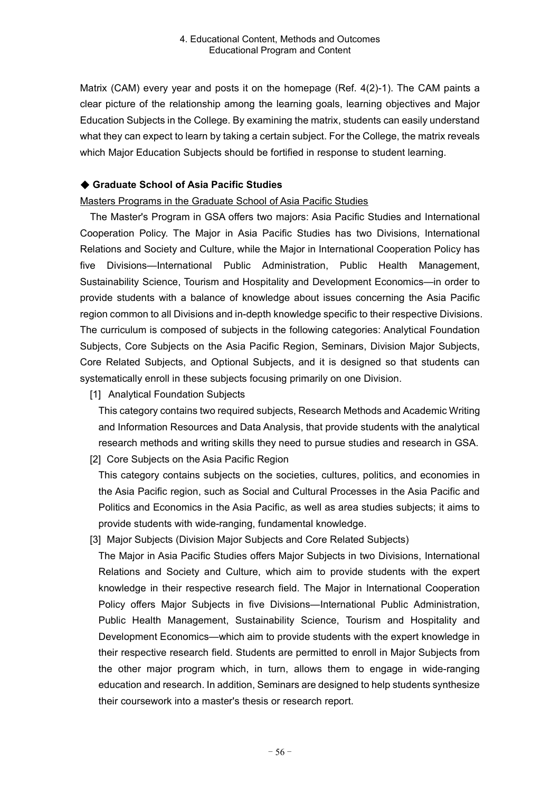Matrix (CAM) every year and posts it on the homepage (Ref. 4(2)-1). The CAM paints a clear picture of the relationship among the learning goals, learning objectives and Major Education Subjects in the College. By examining the matrix, students can easily understand what they can expect to learn by taking a certain subject. For the College, the matrix reveals which Major Education Subjects should be fortified in response to student learning.

### ◆ **Graduate School of Asia Pacific Studies**

Masters Programs in the Graduate School of Asia Pacific Studies

The Master's Program in GSA offers two majors: Asia Pacific Studies and International Cooperation Policy. The Major in Asia Pacific Studies has two Divisions, International Relations and Society and Culture, while the Major in International Cooperation Policy has five Divisions—International Public Administration, Public Health Management, Sustainability Science, Tourism and Hospitality and Development Economics—in order to provide students with a balance of knowledge about issues concerning the Asia Pacific region common to all Divisions and in-depth knowledge specific to their respective Divisions. The curriculum is composed of subjects in the following categories: Analytical Foundation Subjects, Core Subjects on the Asia Pacific Region, Seminars, Division Major Subjects, Core Related Subjects, and Optional Subjects, and it is designed so that students can systematically enroll in these subjects focusing primarily on one Division.

[1] Analytical Foundation Subjects

This category contains two required subjects, Research Methods and Academic Writing and Information Resources and Data Analysis, that provide students with the analytical research methods and writing skills they need to pursue studies and research in GSA.

[2] Core Subjects on the Asia Pacific Region

This category contains subjects on the societies, cultures, politics, and economies in the Asia Pacific region, such as Social and Cultural Processes in the Asia Pacific and Politics and Economics in the Asia Pacific, as well as area studies subjects; it aims to provide students with wide-ranging, fundamental knowledge.

[3] Major Subjects (Division Major Subjects and Core Related Subjects)

The Major in Asia Pacific Studies offers Major Subjects in two Divisions, International Relations and Society and Culture, which aim to provide students with the expert knowledge in their respective research field. The Major in International Cooperation Policy offers Major Subjects in five Divisions—International Public Administration, Public Health Management, Sustainability Science, Tourism and Hospitality and Development Economics—which aim to provide students with the expert knowledge in their respective research field. Students are permitted to enroll in Major Subjects from the other major program which, in turn, allows them to engage in wide-ranging education and research. In addition, Seminars are designed to help students synthesize their coursework into a master's thesis or research report.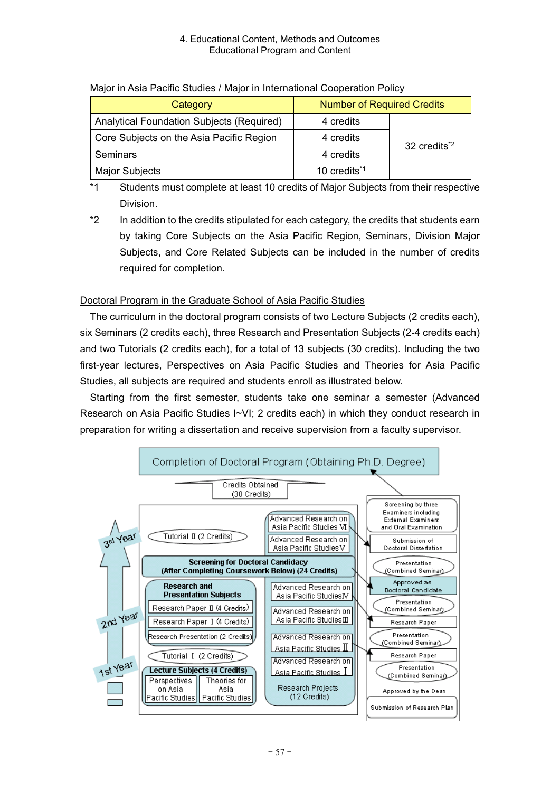| major in noia raomo otaaloo / major in mtornational ooopolation romoy |                          |                          |  |
|-----------------------------------------------------------------------|--------------------------|--------------------------|--|
| <b>Number of Required Credits</b><br>Category                         |                          |                          |  |
| <b>Analytical Foundation Subjects (Required)</b>                      | 4 credits                |                          |  |
| Core Subjects on the Asia Pacific Region                              | 4 credits                | 32 credits <sup>*2</sup> |  |
| <b>Seminars</b>                                                       | 4 credits                |                          |  |
| <b>Major Subjects</b>                                                 | 10 credits <sup>*1</sup> |                          |  |

## Major in Asia Pacific Studies / Major in International Cooperation Policy

- \*1 Students must complete at least 10 credits of Major Subjects from their respective Division.
- \*2 In addition to the credits stipulated for each category, the credits that students earn by taking Core Subjects on the Asia Pacific Region, Seminars, Division Major Subjects, and Core Related Subjects can be included in the number of credits required for completion.

## Doctoral Program in the Graduate School of Asia Pacific Studies

The curriculum in the doctoral program consists of two Lecture Subjects (2 credits each), six Seminars (2 credits each), three Research and Presentation Subjects (2-4 credits each) and two Tutorials (2 credits each), for a total of 13 subjects (30 credits). Including the two first-year lectures, Perspectives on Asia Pacific Studies and Theories for Asia Pacific Studies, all subjects are required and students enroll as illustrated below.

Starting from the first semester, students take one seminar a semester (Advanced Research on Asia Pacific Studies I~VI; 2 credits each) in which they conduct research in preparation for writing a dissertation and receive supervision from a faculty supervisor.

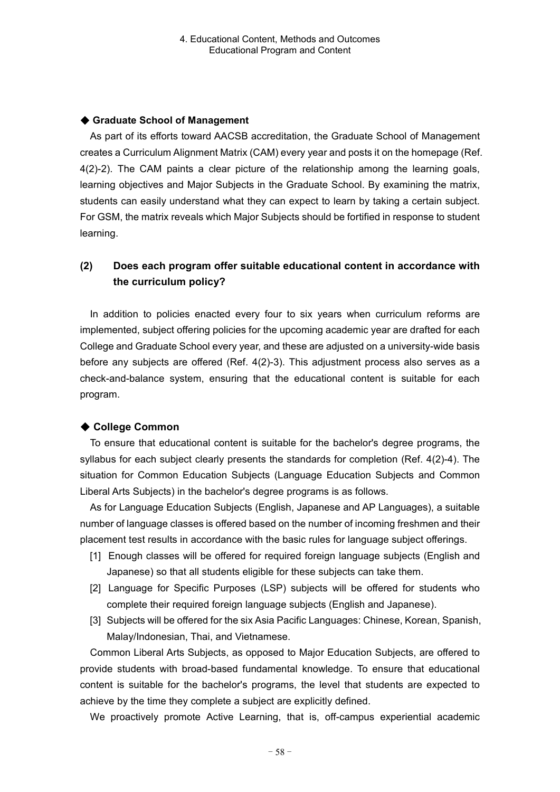### ◆ **Graduate School of Management**

As part of its efforts toward AACSB accreditation, the Graduate School of Management creates a Curriculum Alignment Matrix (CAM) every year and posts it on the homepage (Ref. 4(2)-2). The CAM paints a clear picture of the relationship among the learning goals, learning objectives and Major Subjects in the Graduate School. By examining the matrix, students can easily understand what they can expect to learn by taking a certain subject. For GSM, the matrix reveals which Major Subjects should be fortified in response to student learning.

# **(2) Does each program offer suitable educational content in accordance with the curriculum policy?**

In addition to policies enacted every four to six years when curriculum reforms are implemented, subject offering policies for the upcoming academic year are drafted for each College and Graduate School every year, and these are adjusted on a university-wide basis before any subjects are offered (Ref. 4(2)-3). This adjustment process also serves as a check-and-balance system, ensuring that the educational content is suitable for each program.

## ◆ **College Common**

To ensure that educational content is suitable for the bachelor's degree programs, the syllabus for each subject clearly presents the standards for completion (Ref. 4(2)-4). The situation for Common Education Subjects (Language Education Subjects and Common Liberal Arts Subjects) in the bachelor's degree programs is as follows.

As for Language Education Subjects (English, Japanese and AP Languages), a suitable number of language classes is offered based on the number of incoming freshmen and their placement test results in accordance with the basic rules for language subject offerings.

- [1] Enough classes will be offered for required foreign language subjects (English and Japanese) so that all students eligible for these subjects can take them.
- [2] Language for Specific Purposes (LSP) subjects will be offered for students who complete their required foreign language subjects (English and Japanese).
- [3] Subjects will be offered for the six Asia Pacific Languages: Chinese, Korean, Spanish, Malay/Indonesian, Thai, and Vietnamese.

Common Liberal Arts Subjects, as opposed to Major Education Subjects, are offered to provide students with broad-based fundamental knowledge. To ensure that educational content is suitable for the bachelor's programs, the level that students are expected to achieve by the time they complete a subject are explicitly defined.

We proactively promote Active Learning, that is, off-campus experiential academic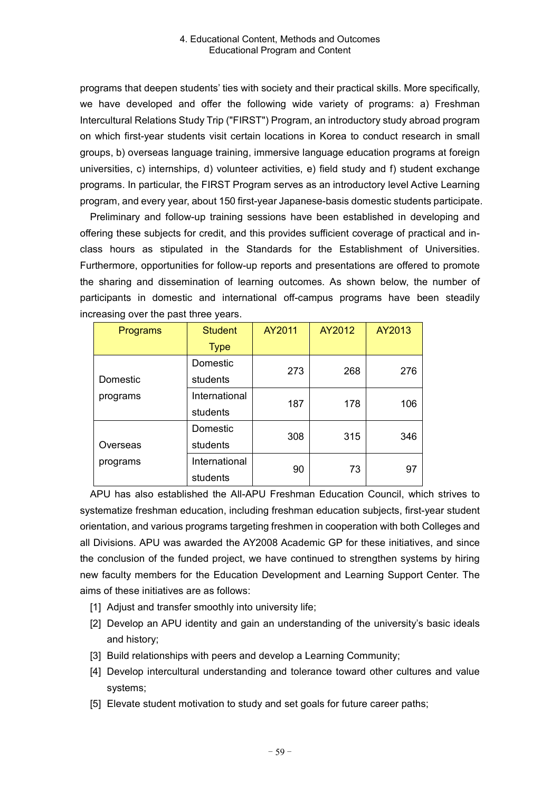programs that deepen students' ties with society and their practical skills. More specifically, we have developed and offer the following wide variety of programs: a) Freshman Intercultural Relations Study Trip ("FIRST") Program, an introductory study abroad program on which first-year students visit certain locations in Korea to conduct research in small groups, b) overseas language training, immersive language education programs at foreign universities, c) internships, d) volunteer activities, e) field study and f) student exchange programs. In particular, the FIRST Program serves as an introductory level Active Learning program, and every year, about 150 first-year Japanese-basis domestic students participate.

Preliminary and follow-up training sessions have been established in developing and offering these subjects for credit, and this provides sufficient coverage of practical and inclass hours as stipulated in the Standards for the Establishment of Universities. Furthermore, opportunities for follow-up reports and presentations are offered to promote the sharing and dissemination of learning outcomes. As shown below, the number of participants in domestic and international off-campus programs have been steadily increasing over the past three years.

| Programs | <b>Student</b> | AY2011 | AY2012 | AY2013 |  |
|----------|----------------|--------|--------|--------|--|
|          | <b>Type</b>    |        |        |        |  |
|          | Domestic       | 273    | 268    | 276    |  |
| Domestic | students       |        |        |        |  |
| programs | International  | 187    | 178    | 106    |  |
|          | students       |        |        |        |  |
|          | Domestic       | 308    | 315    | 346    |  |
| Overseas | students       |        |        |        |  |
| programs | International  | 90     | 73     | 97     |  |
|          | students       |        |        |        |  |

APU has also established the All-APU Freshman Education Council, which strives to systematize freshman education, including freshman education subjects, first-year student orientation, and various programs targeting freshmen in cooperation with both Colleges and all Divisions. APU was awarded the AY2008 Academic GP for these initiatives, and since the conclusion of the funded project, we have continued to strengthen systems by hiring new faculty members for the Education Development and Learning Support Center. The aims of these initiatives are as follows:

- [1] Adjust and transfer smoothly into university life;
- [2] Develop an APU identity and gain an understanding of the university's basic ideals and history;
- [3] Build relationships with peers and develop a Learning Community;
- [4] Develop intercultural understanding and tolerance toward other cultures and value systems;
- [5] Elevate student motivation to study and set goals for future career paths;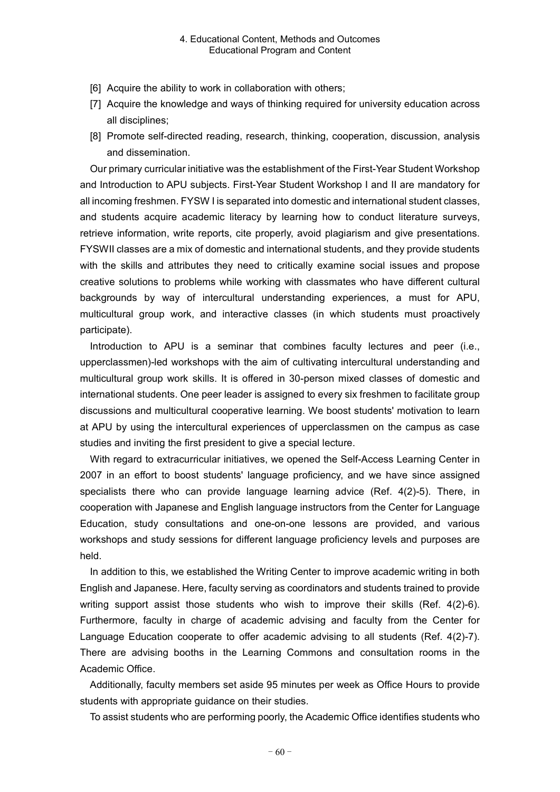- [6] Acquire the ability to work in collaboration with others;
- [7] Acquire the knowledge and ways of thinking required for university education across all disciplines;
- [8] Promote self-directed reading, research, thinking, cooperation, discussion, analysis and dissemination.

Our primary curricular initiative was the establishment of the First-Year Student Workshop and Introduction to APU subjects. First-Year Student Workshop I and II are mandatory for all incoming freshmen. FYSW I is separated into domestic and international student classes, and students acquire academic literacy by learning how to conduct literature surveys, retrieve information, write reports, cite properly, avoid plagiarism and give presentations. FYSWII classes are a mix of domestic and international students, and they provide students with the skills and attributes they need to critically examine social issues and propose creative solutions to problems while working with classmates who have different cultural backgrounds by way of intercultural understanding experiences, a must for APU, multicultural group work, and interactive classes (in which students must proactively participate).

Introduction to APU is a seminar that combines faculty lectures and peer (i.e., upperclassmen)-led workshops with the aim of cultivating intercultural understanding and multicultural group work skills. It is offered in 30-person mixed classes of domestic and international students. One peer leader is assigned to every six freshmen to facilitate group discussions and multicultural cooperative learning. We boost students' motivation to learn at APU by using the intercultural experiences of upperclassmen on the campus as case studies and inviting the first president to give a special lecture.

With regard to extracurricular initiatives, we opened the Self-Access Learning Center in 2007 in an effort to boost students' language proficiency, and we have since assigned specialists there who can provide language learning advice (Ref. 4(2)-5). There, in cooperation with Japanese and English language instructors from the Center for Language Education, study consultations and one-on-one lessons are provided, and various workshops and study sessions for different language proficiency levels and purposes are held.

In addition to this, we established the Writing Center to improve academic writing in both English and Japanese. Here, faculty serving as coordinators and students trained to provide writing support assist those students who wish to improve their skills (Ref. 4(2)-6). Furthermore, faculty in charge of academic advising and faculty from the Center for Language Education cooperate to offer academic advising to all students (Ref. 4(2)-7). There are advising booths in the Learning Commons and consultation rooms in the Academic Office.

Additionally, faculty members set aside 95 minutes per week as Office Hours to provide students with appropriate guidance on their studies.

To assist students who are performing poorly, the Academic Office identifies students who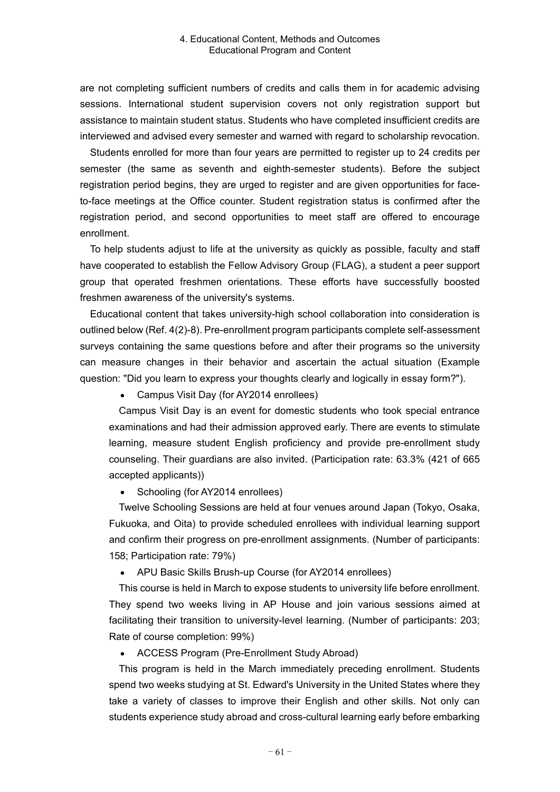are not completing sufficient numbers of credits and calls them in for academic advising sessions. International student supervision covers not only registration support but assistance to maintain student status. Students who have completed insufficient credits are interviewed and advised every semester and warned with regard to scholarship revocation.

Students enrolled for more than four years are permitted to register up to 24 credits per semester (the same as seventh and eighth-semester students). Before the subject registration period begins, they are urged to register and are given opportunities for faceto-face meetings at the Office counter. Student registration status is confirmed after the registration period, and second opportunities to meet staff are offered to encourage enrollment.

To help students adjust to life at the university as quickly as possible, faculty and staff have cooperated to establish the Fellow Advisory Group (FLAG), a student a peer support group that operated freshmen orientations. These efforts have successfully boosted freshmen awareness of the university's systems.

Educational content that takes university-high school collaboration into consideration is outlined below (Ref. 4(2)-8). Pre-enrollment program participants complete self-assessment surveys containing the same questions before and after their programs so the university can measure changes in their behavior and ascertain the actual situation (Example question: "Did you learn to express your thoughts clearly and logically in essay form?").

Campus Visit Day (for AY2014 enrollees)

Campus Visit Day is an event for domestic students who took special entrance examinations and had their admission approved early. There are events to stimulate learning, measure student English proficiency and provide pre-enrollment study counseling. Their guardians are also invited. (Participation rate: 63.3% (421 of 665 accepted applicants))

Schooling (for AY2014 enrollees)  $\bullet$ 

Twelve Schooling Sessions are held at four venues around Japan (Tokyo, Osaka, Fukuoka, and Oita) to provide scheduled enrollees with individual learning support and confirm their progress on pre-enrollment assignments. (Number of participants: 158; Participation rate: 79%)

APU Basic Skills Brush-up Course (for AY2014 enrollees)

This course is held in March to expose students to university life before enrollment. They spend two weeks living in AP House and join various sessions aimed at facilitating their transition to university-level learning. (Number of participants: 203; Rate of course completion: 99%)

ACCESS Program (Pre-Enrollment Study Abroad)

This program is held in the March immediately preceding enrollment. Students spend two weeks studying at St. Edward's University in the United States where they take a variety of classes to improve their English and other skills. Not only can students experience study abroad and cross-cultural learning early before embarking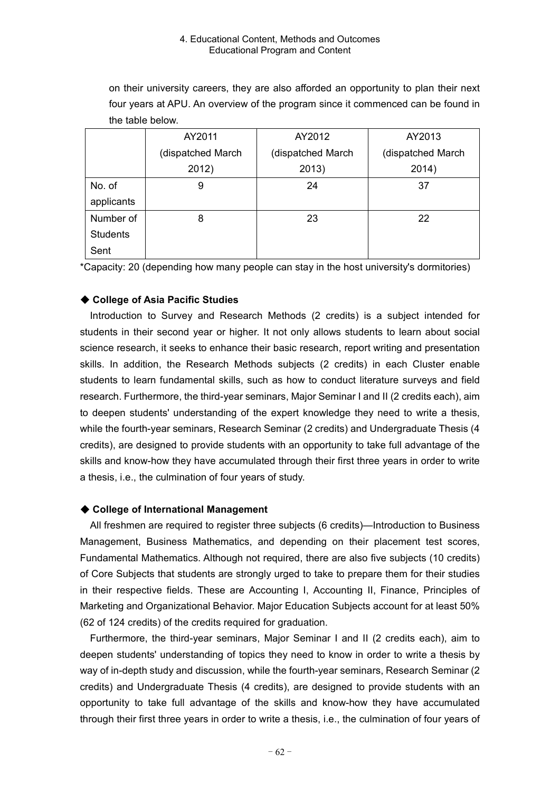on their university careers, they are also afforded an opportunity to plan their next four years at APU. An overview of the program since it commenced can be found in the table below.

|                 | AY2011            | AY2012            | AY2013            |
|-----------------|-------------------|-------------------|-------------------|
|                 | (dispatched March | (dispatched March | (dispatched March |
|                 | 2012)             | 2013)             | 2014)             |
| No. of          | 9                 | 24                | 37                |
| applicants      |                   |                   |                   |
| Number of       | 8                 | 23                | 22                |
| <b>Students</b> |                   |                   |                   |
| Sent            |                   |                   |                   |

\*Capacity: 20 (depending how many people can stay in the host university's dormitories)

## ◆ **College of Asia Pacific Studies**

Introduction to Survey and Research Methods (2 credits) is a subject intended for students in their second year or higher. It not only allows students to learn about social science research, it seeks to enhance their basic research, report writing and presentation skills. In addition, the Research Methods subjects (2 credits) in each Cluster enable students to learn fundamental skills, such as how to conduct literature surveys and field research. Furthermore, the third-year seminars, Major Seminar I and II (2 credits each), aim to deepen students' understanding of the expert knowledge they need to write a thesis, while the fourth-year seminars, Research Seminar (2 credits) and Undergraduate Thesis (4 credits), are designed to provide students with an opportunity to take full advantage of the skills and know-how they have accumulated through their first three years in order to write a thesis, i.e., the culmination of four years of study.

### ◆ **College of International Management**

All freshmen are required to register three subjects (6 credits)—Introduction to Business Management, Business Mathematics, and depending on their placement test scores, Fundamental Mathematics. Although not required, there are also five subjects (10 credits) of Core Subjects that students are strongly urged to take to prepare them for their studies in their respective fields. These are Accounting I, Accounting II, Finance, Principles of Marketing and Organizational Behavior. Major Education Subjects account for at least 50% (62 of 124 credits) of the credits required for graduation.

Furthermore, the third-year seminars, Major Seminar I and II (2 credits each), aim to deepen students' understanding of topics they need to know in order to write a thesis by way of in-depth study and discussion, while the fourth-year seminars, Research Seminar (2 credits) and Undergraduate Thesis (4 credits), are designed to provide students with an opportunity to take full advantage of the skills and know-how they have accumulated through their first three years in order to write a thesis, i.e., the culmination of four years of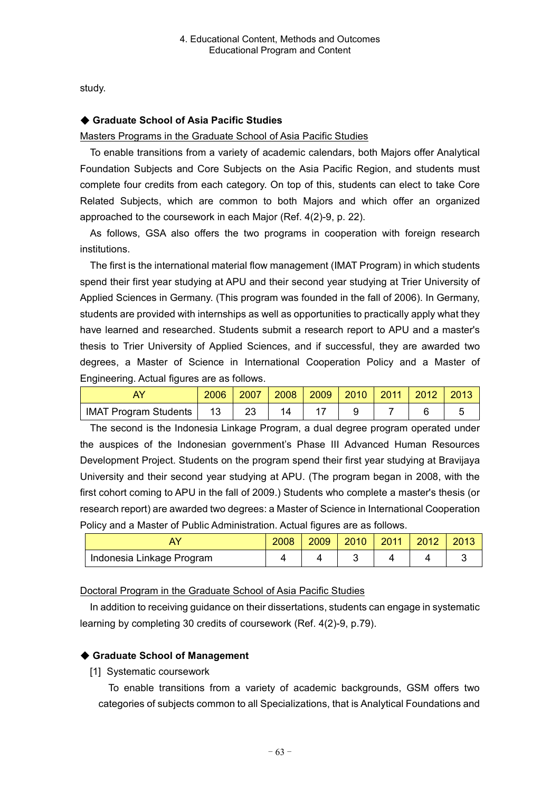study.

### ◆ **Graduate School of Asia Pacific Studies**

### Masters Programs in the Graduate School of Asia Pacific Studies

To enable transitions from a variety of academic calendars, both Majors offer Analytical Foundation Subjects and Core Subjects on the Asia Pacific Region, and students must complete four credits from each category. On top of this, students can elect to take Core Related Subjects, which are common to both Majors and which offer an organized approached to the coursework in each Major (Ref. 4(2)-9, p. 22).

As follows, GSA also offers the two programs in cooperation with foreign research institutions.

The first is the international material flow management (IMAT Program) in which students spend their first year studying at APU and their second year studying at Trier University of Applied Sciences in Germany. (This program was founded in the fall of 2006). In Germany, students are provided with internships as well as opportunities to practically apply what they have learned and researched. Students submit a research report to APU and a master's thesis to Trier University of Applied Sciences, and if successful, they are awarded two degrees, a Master of Science in International Cooperation Policy and a Master of Engineering. Actual figures are as follows.

|                              | 2006 | 2007 | 2008 | 2009 | 2010 | 2011 | 2012 | 2013 |
|------------------------------|------|------|------|------|------|------|------|------|
| <b>IMAT Program Students</b> |      | 23   |      |      |      |      |      |      |

The second is the Indonesia Linkage Program, a dual degree program operated under the auspices of the Indonesian government's Phase III Advanced Human Resources Development Project. Students on the program spend their first year studying at Bravijaya University and their second year studying at APU. (The program began in 2008, with the first cohort coming to APU in the fall of 2009.) Students who complete a master's thesis (or research report) are awarded two degrees: a Master of Science in International Cooperation Policy and a Master of Public Administration. Actual figures are as follows.

|                           | 2008 | 2009 | 2010 | 2012 |  |
|---------------------------|------|------|------|------|--|
| Indonesia Linkage Program |      |      |      |      |  |

### Doctoral Program in the Graduate School of Asia Pacific Studies

In addition to receiving guidance on their dissertations, students can engage in systematic learning by completing 30 credits of coursework (Ref. 4(2)-9, p.79).

## ◆ **Graduate School of Management**

[1] Systematic coursework

To enable transitions from a variety of academic backgrounds, GSM offers two categories of subjects common to all Specializations, that is Analytical Foundations and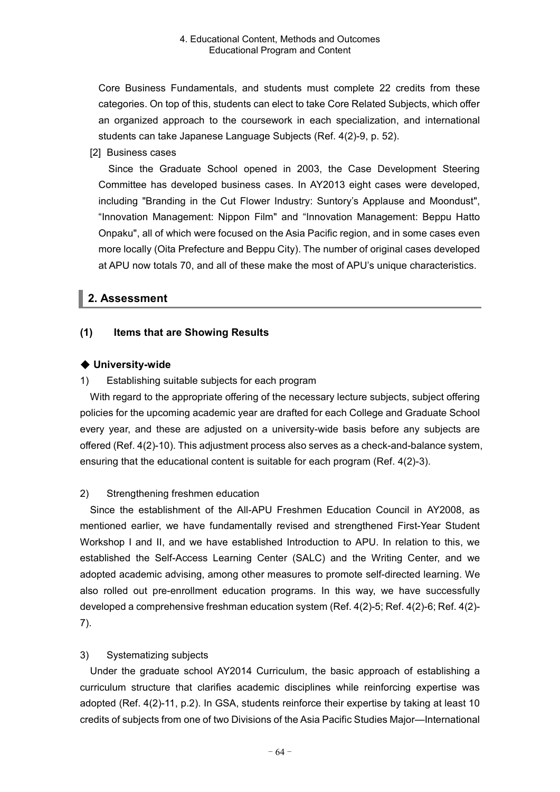Core Business Fundamentals, and students must complete 22 credits from these categories. On top of this, students can elect to take Core Related Subjects, which offer an organized approach to the coursework in each specialization, and international students can take Japanese Language Subjects (Ref. 4(2)-9, p. 52).

[2] Business cases

Since the Graduate School opened in 2003, the Case Development Steering Committee has developed business cases. In AY2013 eight cases were developed, including "Branding in the Cut Flower Industry: Suntory's Applause and Moondust", "Innovation Management: Nippon Film" and "Innovation Management: Beppu Hatto Onpaku", all of which were focused on the Asia Pacific region, and in some cases even more locally (Oita Prefecture and Beppu City). The number of original cases developed at APU now totals 70, and all of these make the most of APU's unique characteristics.

# **2. Assessment**

## **(1) Items that are Showing Results**

## ◆ **University-wide**

1) Establishing suitable subjects for each program

With regard to the appropriate offering of the necessary lecture subjects, subject offering policies for the upcoming academic year are drafted for each College and Graduate School every year, and these are adjusted on a university-wide basis before any subjects are offered (Ref. 4(2)-10). This adjustment process also serves as a check-and-balance system, ensuring that the educational content is suitable for each program (Ref. 4(2)-3).

### 2) Strengthening freshmen education

Since the establishment of the All-APU Freshmen Education Council in AY2008, as mentioned earlier, we have fundamentally revised and strengthened First-Year Student Workshop I and II, and we have established Introduction to APU. In relation to this, we established the Self-Access Learning Center (SALC) and the Writing Center, and we adopted academic advising, among other measures to promote self-directed learning. We also rolled out pre-enrollment education programs. In this way, we have successfully developed a comprehensive freshman education system (Ref. 4(2)-5; Ref. 4(2)-6; Ref. 4(2)- 7).

### 3) Systematizing subjects

Under the graduate school AY2014 Curriculum, the basic approach of establishing a curriculum structure that clarifies academic disciplines while reinforcing expertise was adopted (Ref. 4(2)-11, p.2). In GSA, students reinforce their expertise by taking at least 10 credits of subjects from one of two Divisions of the Asia Pacific Studies Major—International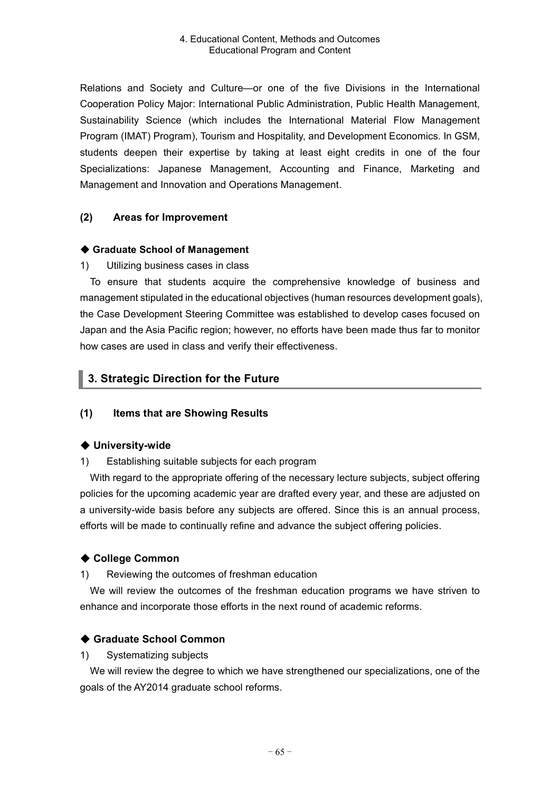Relations and Society and Culture—or one of the five Divisions in the International Cooperation Policy Major: International Public Administration, Public Health Management, Sustainability Science (which includes the International Material Flow Management Program (IMAT) Program), Tourism and Hospitality, and Development Economics. In GSM, students deepen their expertise by taking at least eight credits in one of the four Specializations: Japanese Management, Accounting and Finance, Marketing and Management and Innovation and Operations Management.

## **(2) Areas for Improvement**

### ◆ **Graduate School of Management**

1) Utilizing business cases in class

To ensure that students acquire the comprehensive knowledge of business and management stipulated in the educational objectives (human resources development goals), the Case Development Steering Committee was established to develop cases focused on Japan and the Asia Pacific region; however, no efforts have been made thus far to monitor how cases are used in class and verify their effectiveness.

# **3. Strategic Direction for the Future**

### **(1) Items that are Showing Results**

### ◆ **University-wide**

1) Establishing suitable subjects for each program

With regard to the appropriate offering of the necessary lecture subjects, subject offering policies for the upcoming academic year are drafted every year, and these are adjusted on a university-wide basis before any subjects are offered. Since this is an annual process, efforts will be made to continually refine and advance the subject offering policies.

### ◆ **College Common**

1) Reviewing the outcomes of freshman education

We will review the outcomes of the freshman education programs we have striven to enhance and incorporate those efforts in the next round of academic reforms.

### ◆ **Graduate School Common**

### 1) Systematizing subjects

We will review the degree to which we have strengthened our specializations, one of the goals of the AY2014 graduate school reforms.